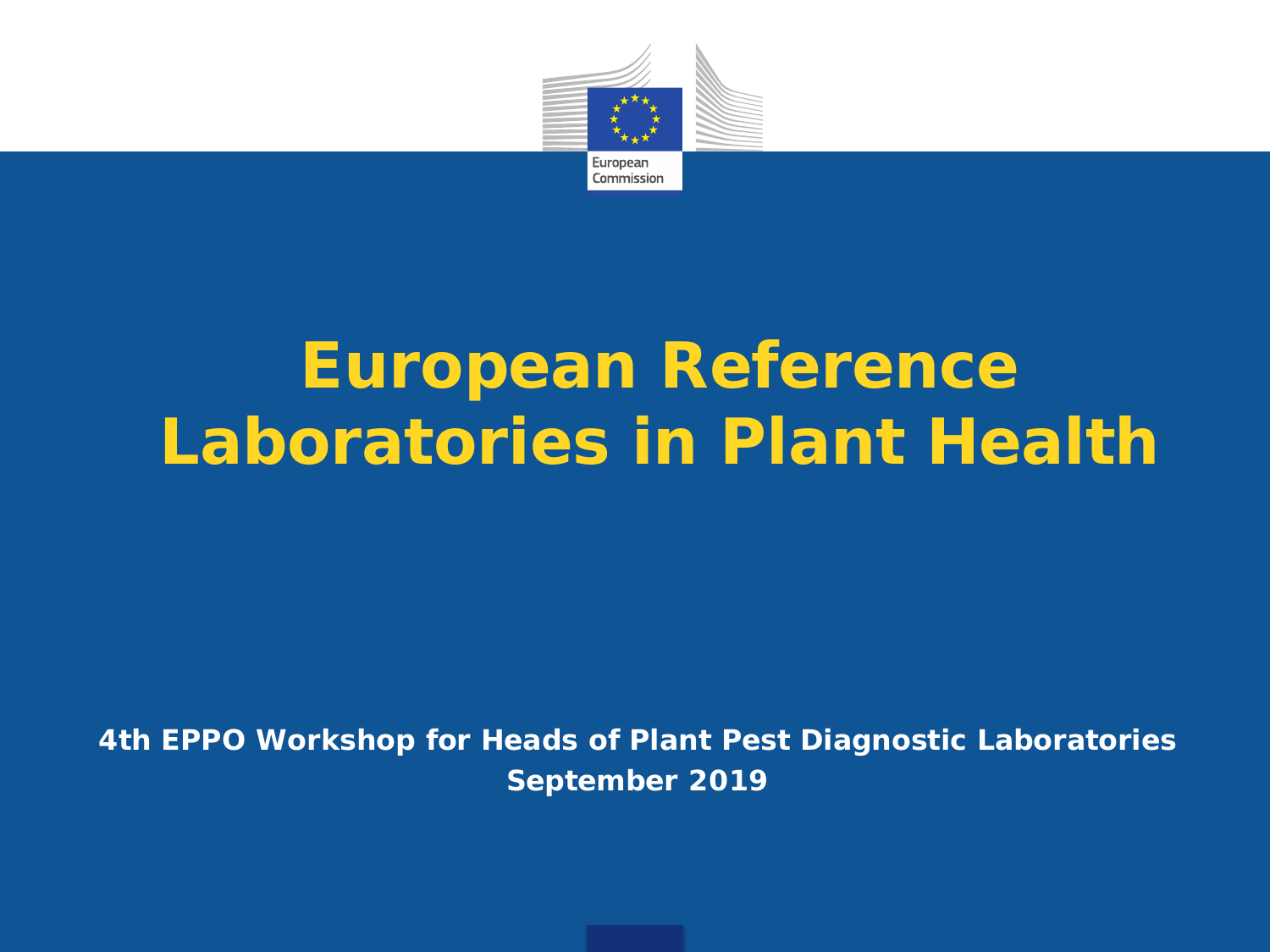

# **European Reference Laboratories in Plant Health**

**4th EPPO Workshop for Heads of Plant Pest Diagnostic Laboratories September 2019**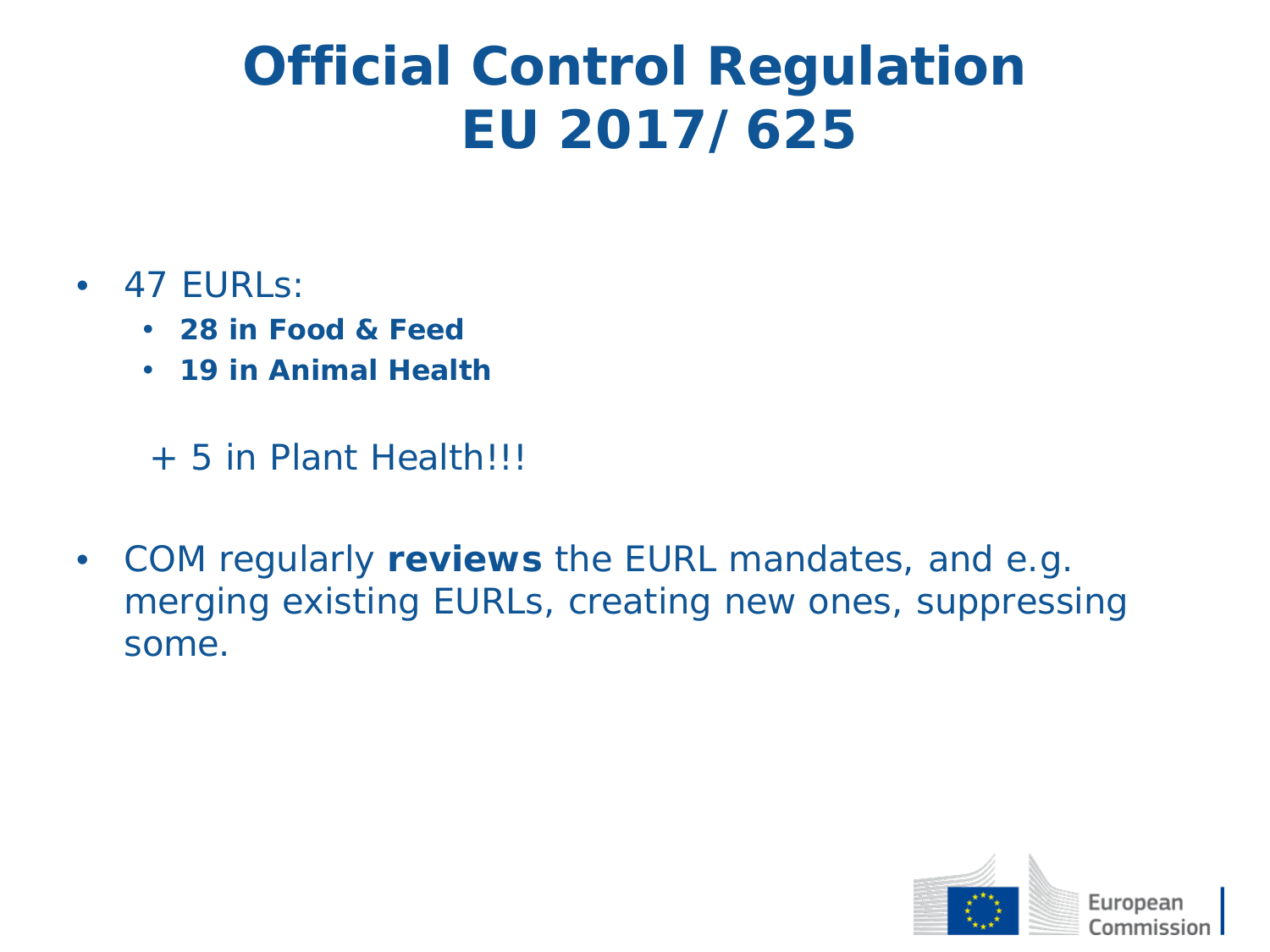### **Official Control Regulation EU 2017/625**

#### • 47 EURLs:

- **28 in Food & Feed**
- **19 in Animal Health**

+ 5 in Plant Health!!!

• COM regularly **reviews** the EURL mandates, and e.g. merging existing EURLs, creating new ones, suppressing some.

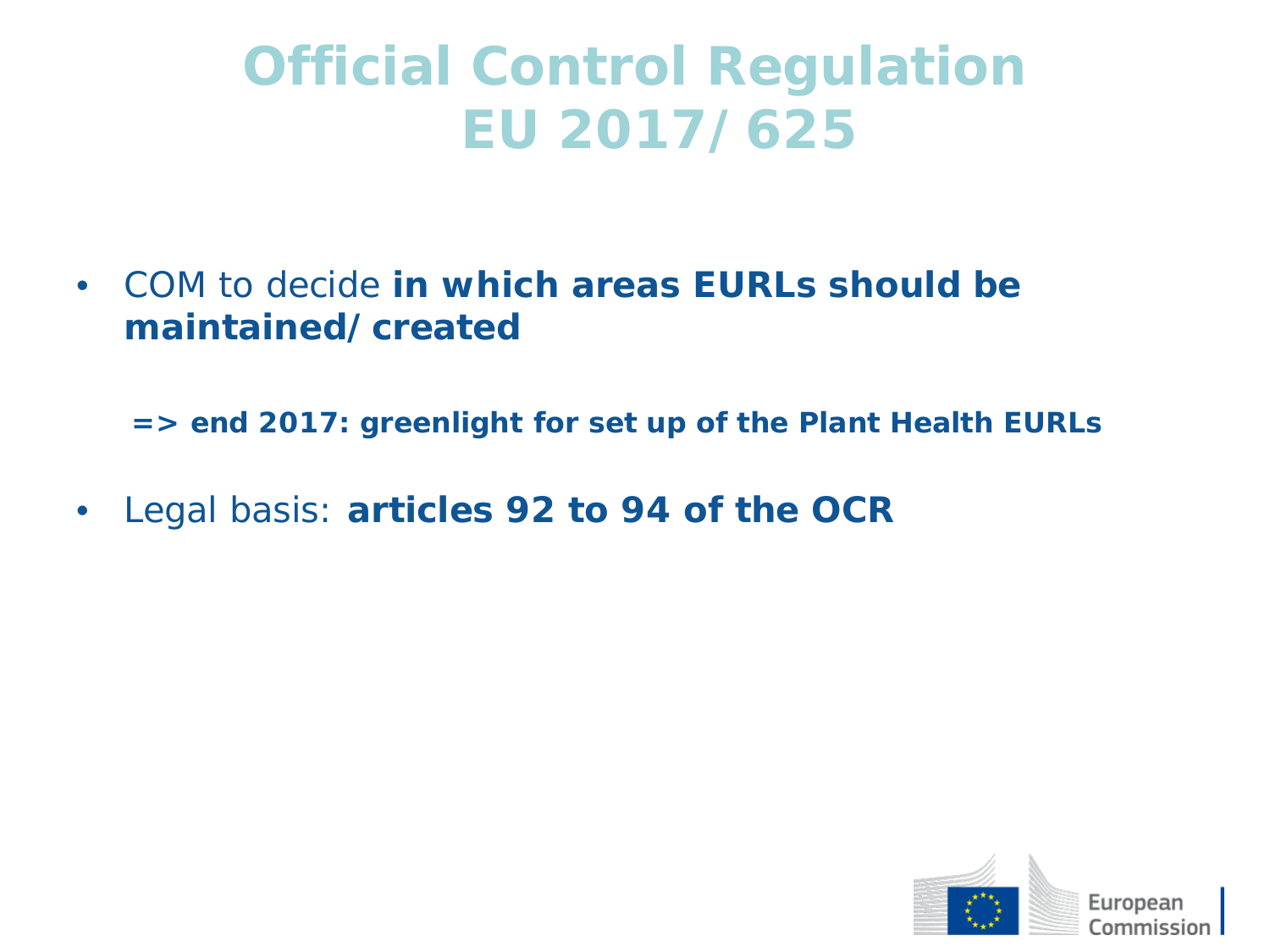### **Official Control Regulation EU 2017/625**

• COM to decide **in which areas EURLs should be maintained/created** 

**=> end 2017: greenlight for set up of the Plant Health EURLs**

• Legal basis: **articles 92 to 94 of the OCR**

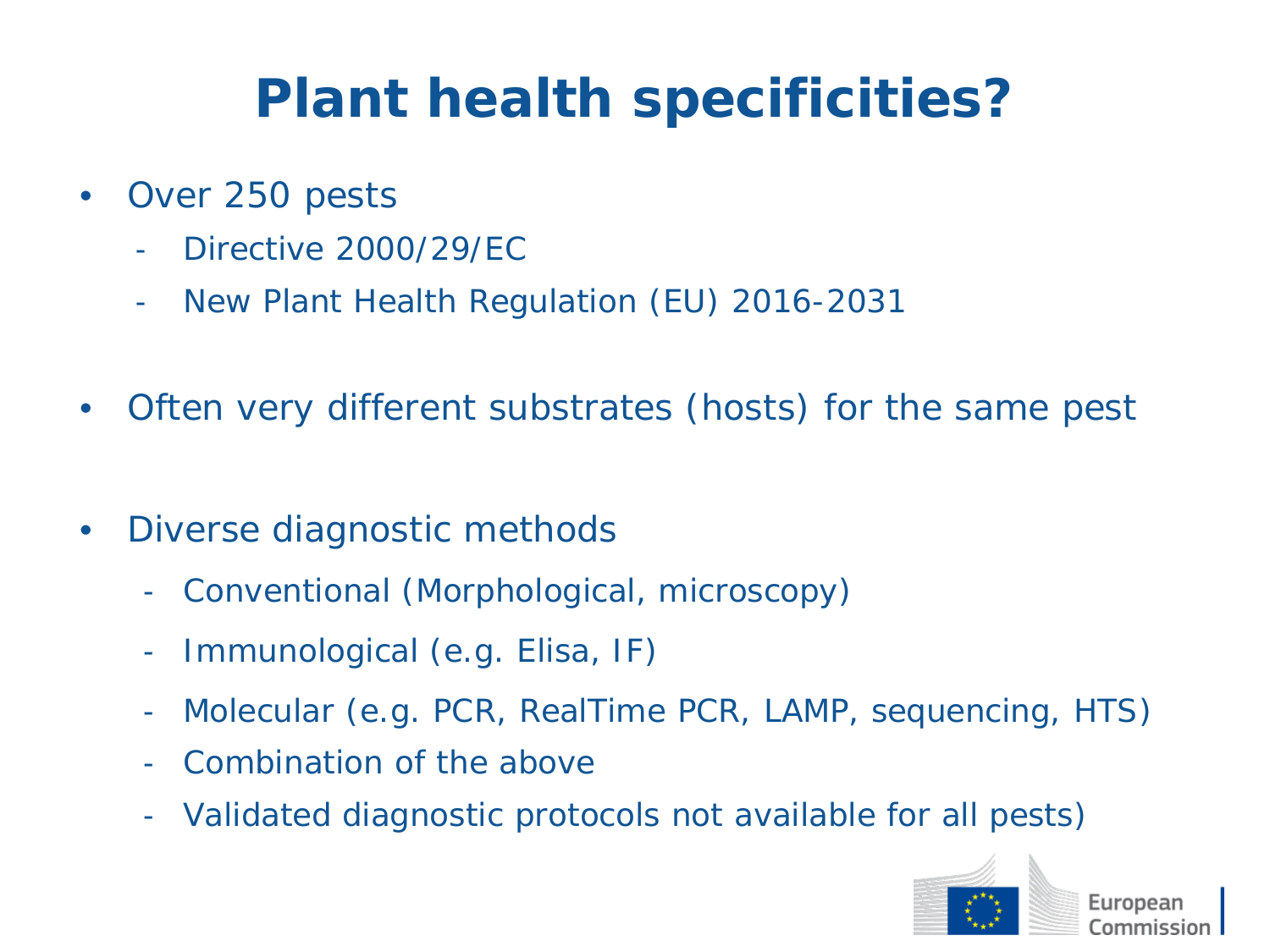# **Plant health specificities?**

- Over 250 pests
	- Directive 2000/29/EC
	- New Plant Health Regulation (EU) 2016-2031
- Often very different substrates (hosts) for the same pest
- Diverse diagnostic methods
	- Conventional (Morphological, microscopy)
	- Immunological (e.g. Elisa, IF)
	- Molecular (e.g. PCR, RealTime PCR, LAMP, sequencing, HTS)
	- Combination of the above
	- Validated diagnostic protocols not available for all pests)

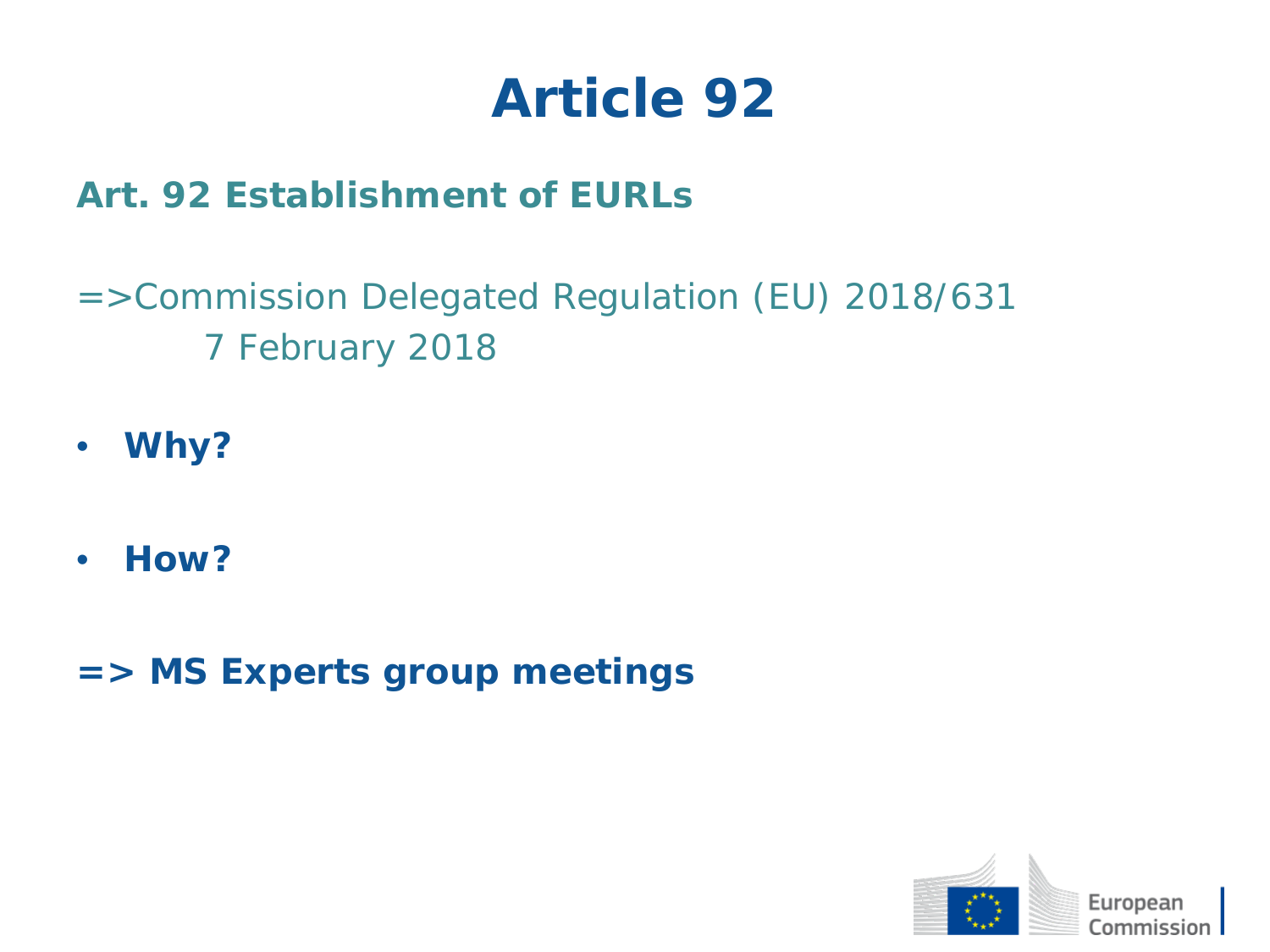#### *Art. 92 Establishment of EURLs*

- =>Commission Delegated Regulation (EU) 2018/631 7 February 2018
- **Why?**
- **How?**
- **=> MS Experts group meetings**

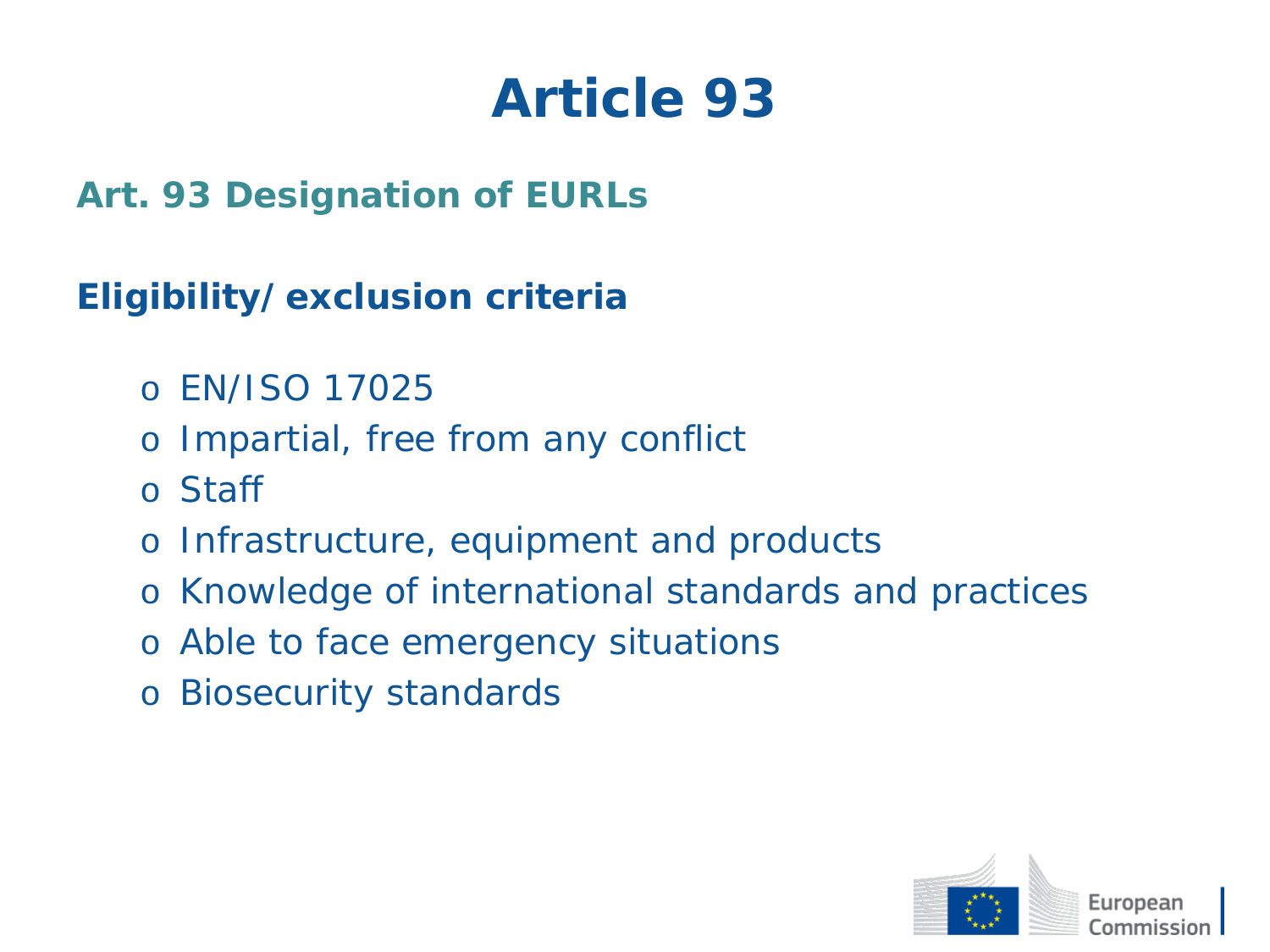*Art. 93 Designation of EURLs*

#### **Eligibility/exclusion criteria**

- o EN/ISO 17025
- o Impartial, free from any conflict
- o Staff
- o Infrastructure, equipment and products
- o Knowledge of international standards and practices
- o Able to face emergency situations
- o Biosecurity standards

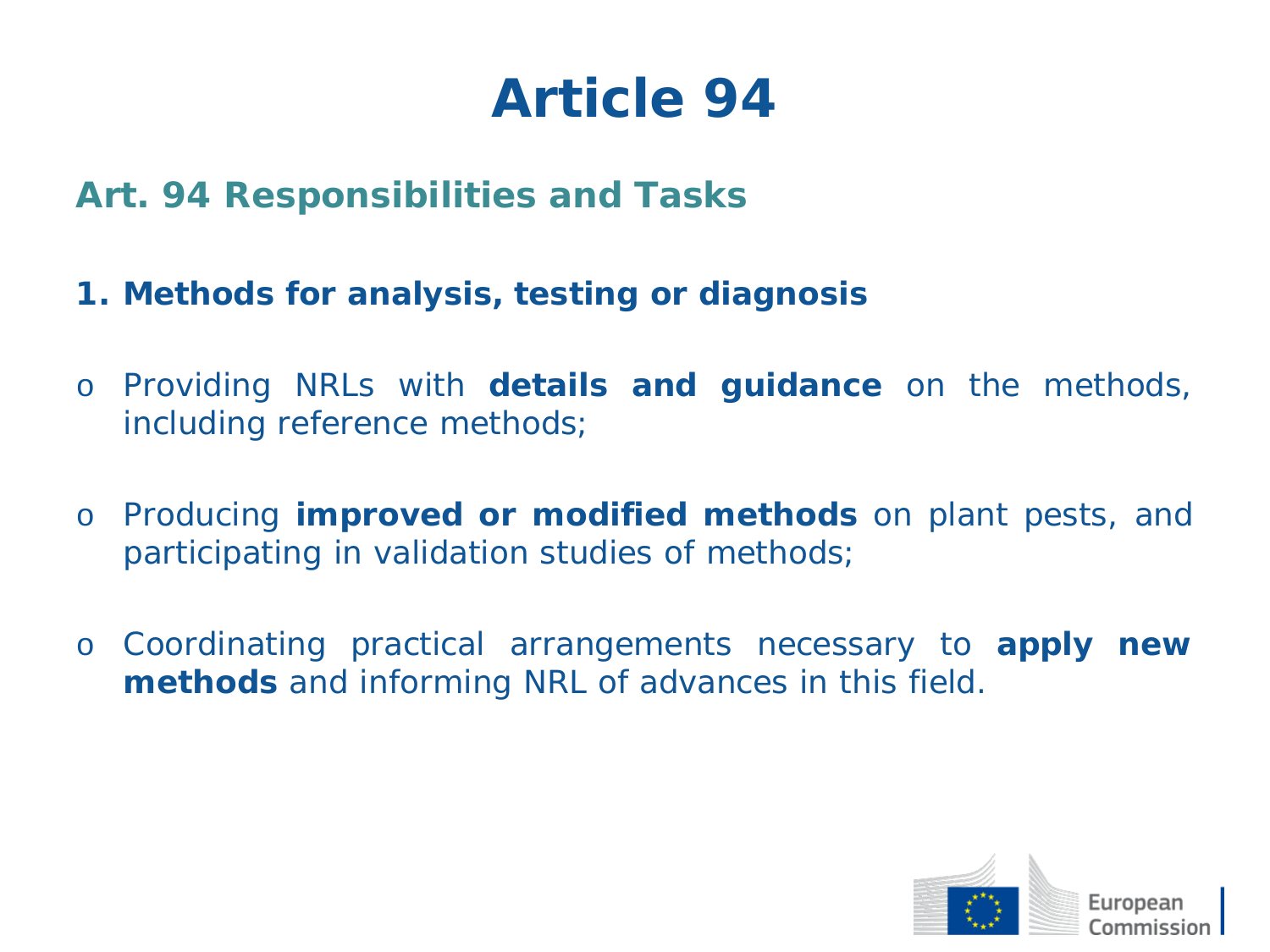- *Art. 94 Responsibilities and Tasks*
- **1. Methods for analysis, testing or diagnosis**
- o Providing NRLs with **details and guidance** on the methods, including reference methods;
- o Producing **improved or modified methods** on plant pests, and participating in validation studies of methods;
- o Coordinating practical arrangements necessary to **apply new methods** and informing NRL of advances in this field.

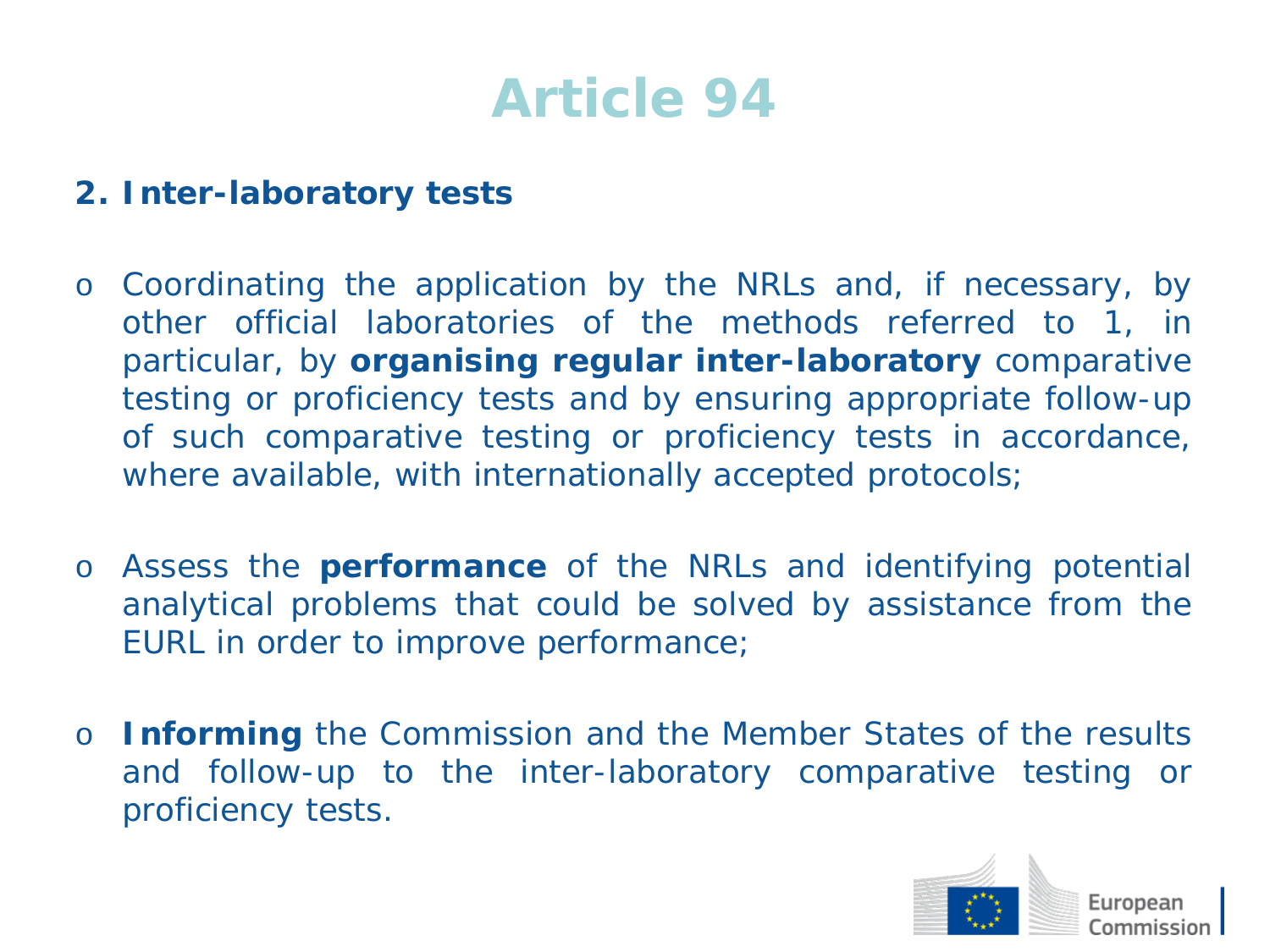#### **2. Inter-laboratory tests**

- o Coordinating the application by the NRLs and, if necessary, by other official laboratories of the methods referred to 1, in particular, by **organising regular inter-laboratory** comparative testing or proficiency tests and by ensuring appropriate follow-up of such comparative testing or proficiency tests in accordance, where available, with internationally accepted protocols;
- o Assess the **performance** of the NRLs and identifying potential analytical problems that could be solved by assistance from the EURL in order to improve performance;
- o **Informing** the Commission and the Member States of the results and follow-up to the inter-laboratory comparative testing or proficiency tests.

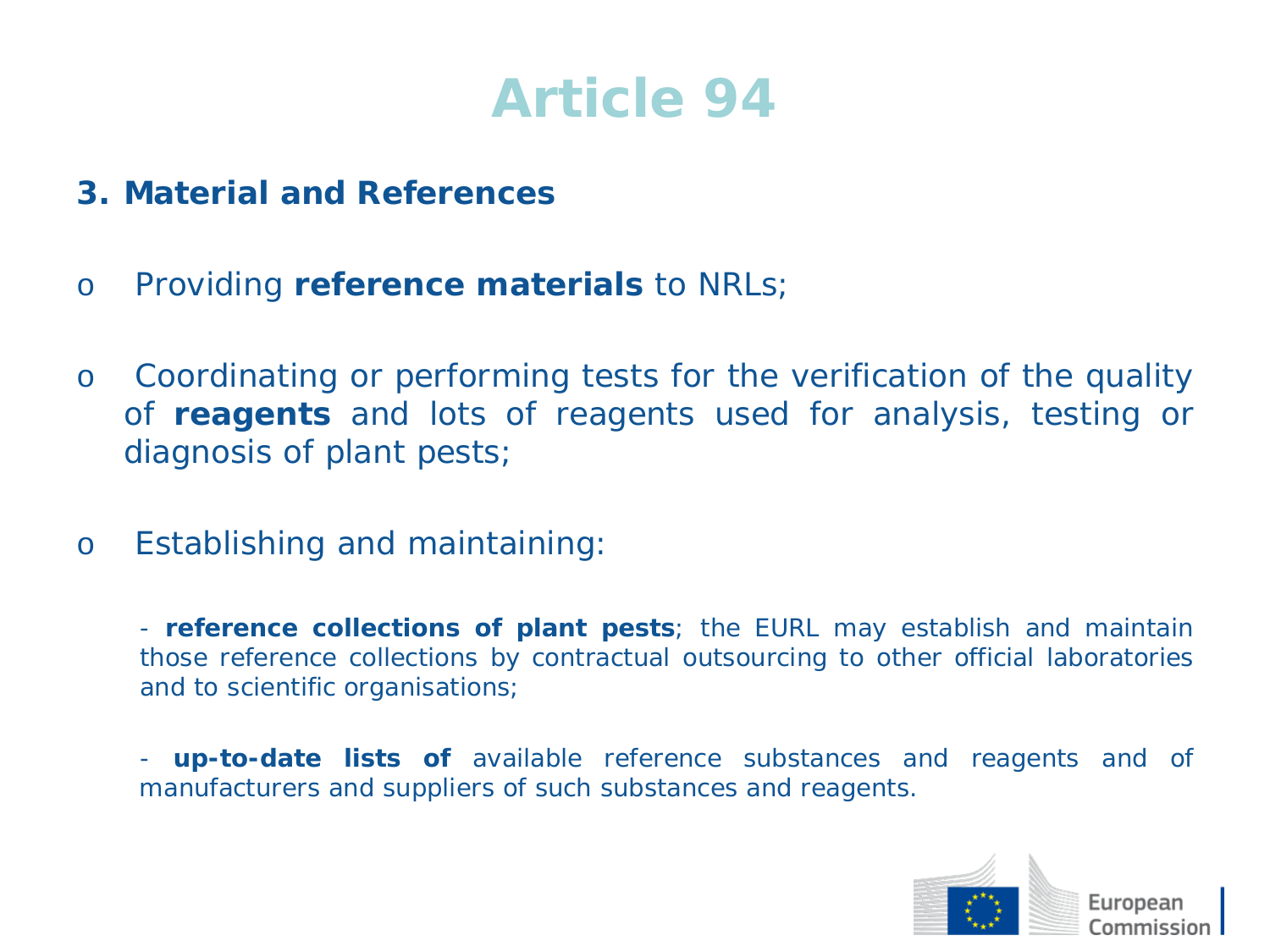- **3. Material and References**
- o Providing **reference materials** to NRLs;
- o Coordinating or performing tests for the verification of the quality of **reagents** and lots of reagents used for analysis, testing or diagnosis of plant pests;
- o Establishing and maintaining:

- **reference collections of plant pests**; the EURL may establish and maintain those reference collections by contractual outsourcing to other official laboratories and to scientific organisations;

**up-to-date lists of** available reference substances and reagents and of manufacturers and suppliers of such substances and reagents.

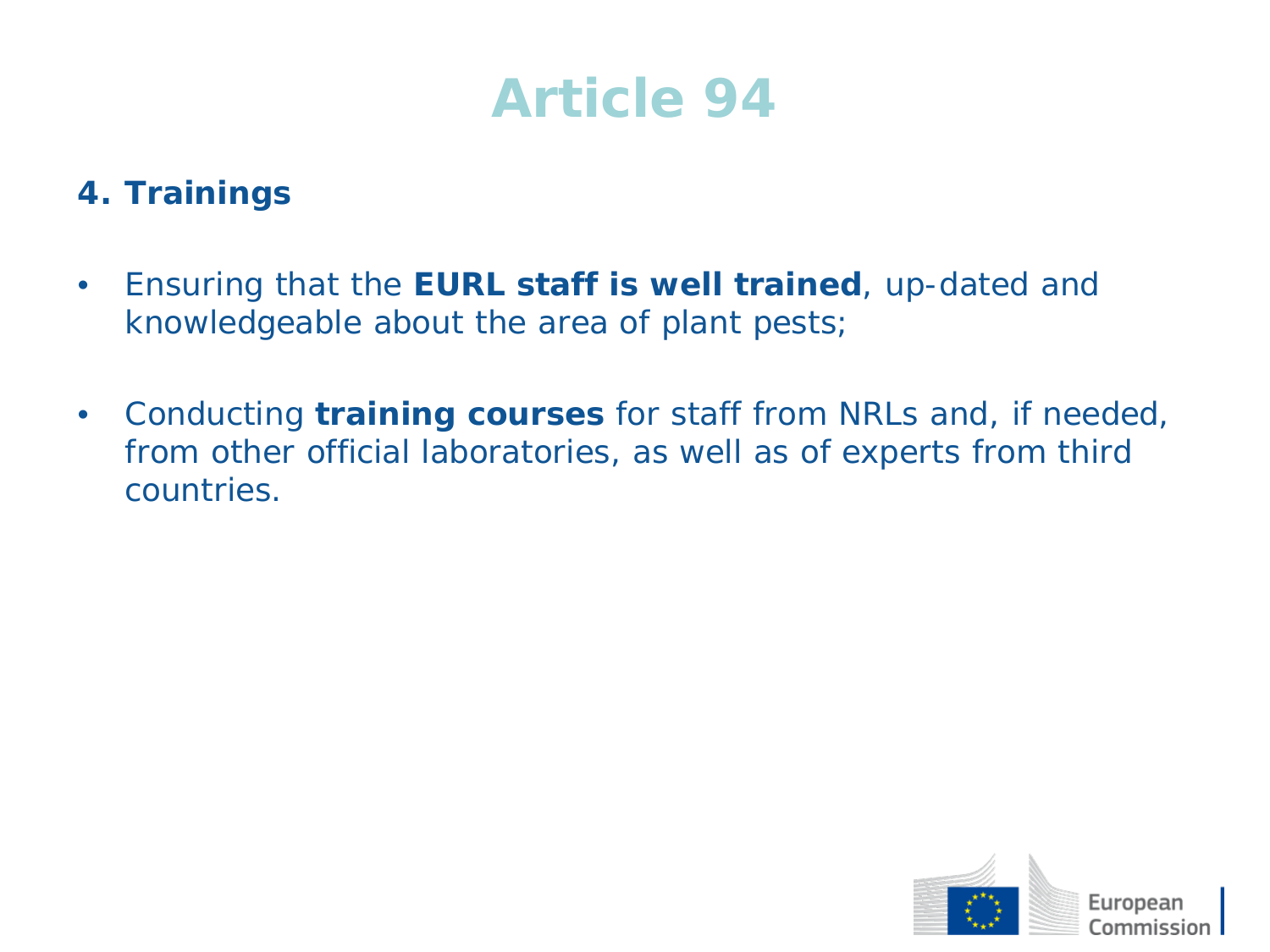#### **4. Trainings**

- Ensuring that the **EURL staff is well trained**, up-dated and knowledgeable about the area of plant pests;
- Conducting **training courses** for staff from NRLs and, if needed, from other official laboratories, as well as of experts from third countries.

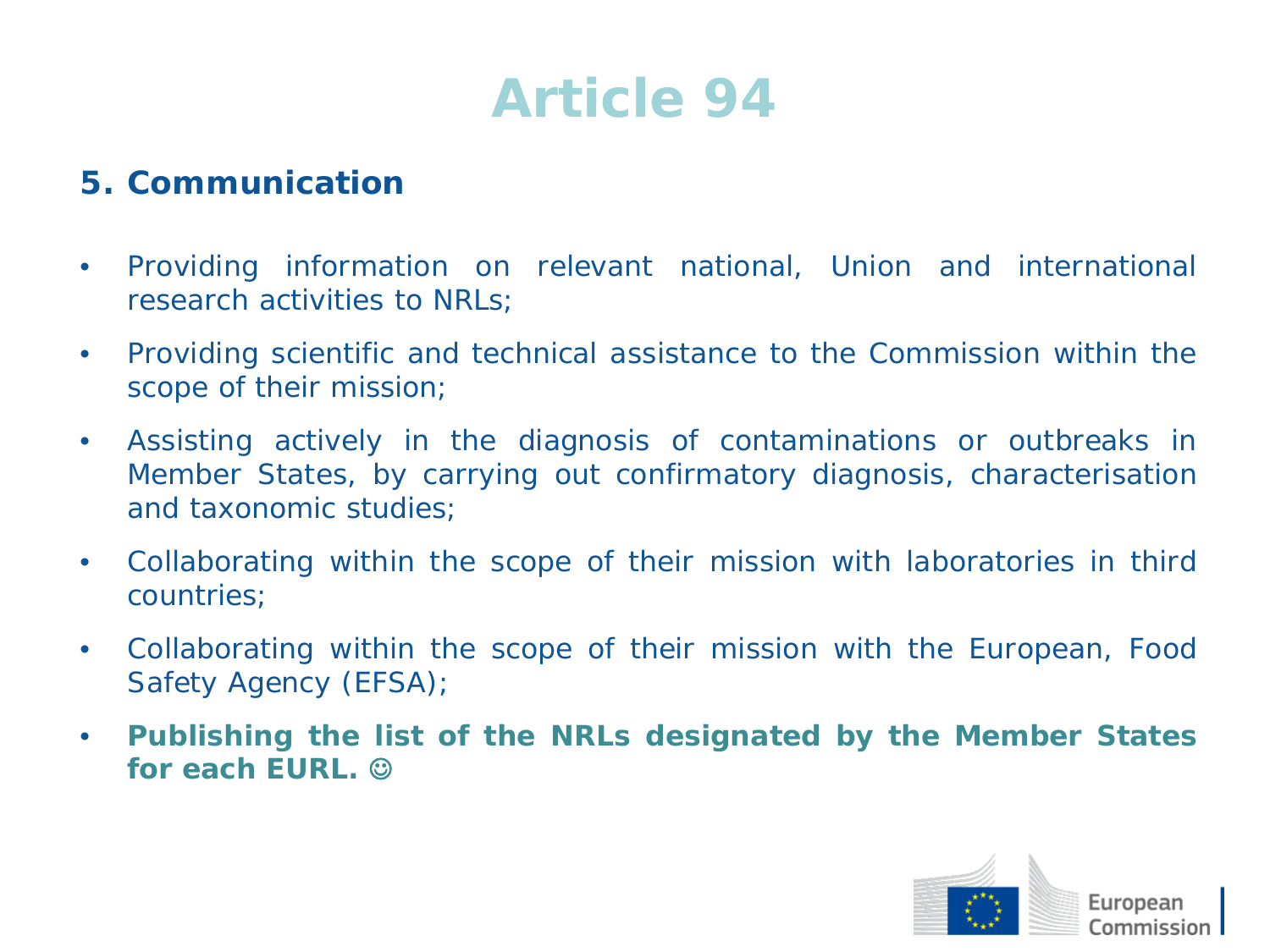#### **5. Communication**

- Providing information on relevant national, Union and international research activities to NRLs;
- Providing scientific and technical assistance to the Commission within the scope of their mission;
- Assisting actively in the diagnosis of contaminations or outbreaks in Member States, by carrying out confirmatory diagnosis, characterisation and taxonomic studies;
- Collaborating within the scope of their mission with laboratories in third countries;
- Collaborating within the scope of their mission with the European, Food Safety Agency (EFSA);
- **Publishing the list of the NRLs designated by the Member States for each EURL.**

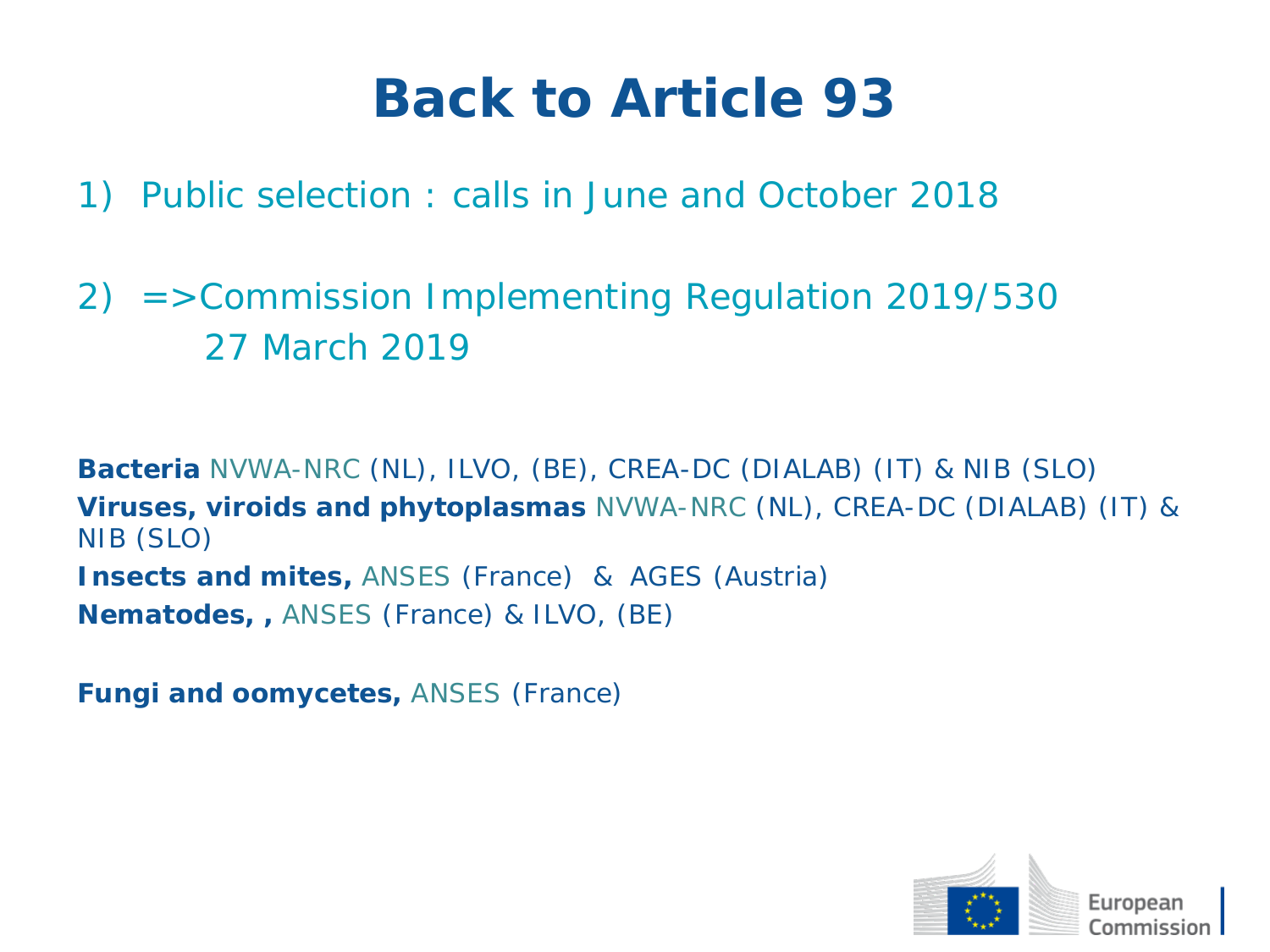## **Back to Article 93**

- 1) Public selection : calls in June and October 2018
- 2) =>Commission Implementing Regulation 2019/530 27 March 2019

**Bacteria** NVWA-NRC (NL), ILVO, (BE), CREA-DC (DIALAB) (IT) & NIB (SLO) **Viruses, viroids and phytoplasmas** NVWA-NRC (NL), CREA-DC (DIALAB) (IT) & NIB (SLO) **Insects and mites,** ANSES (France) & AGES (Austria) **Nematodes, ,** ANSES (France) & ILVO, (BE)

**Fungi and oomycetes,** ANSES (France)

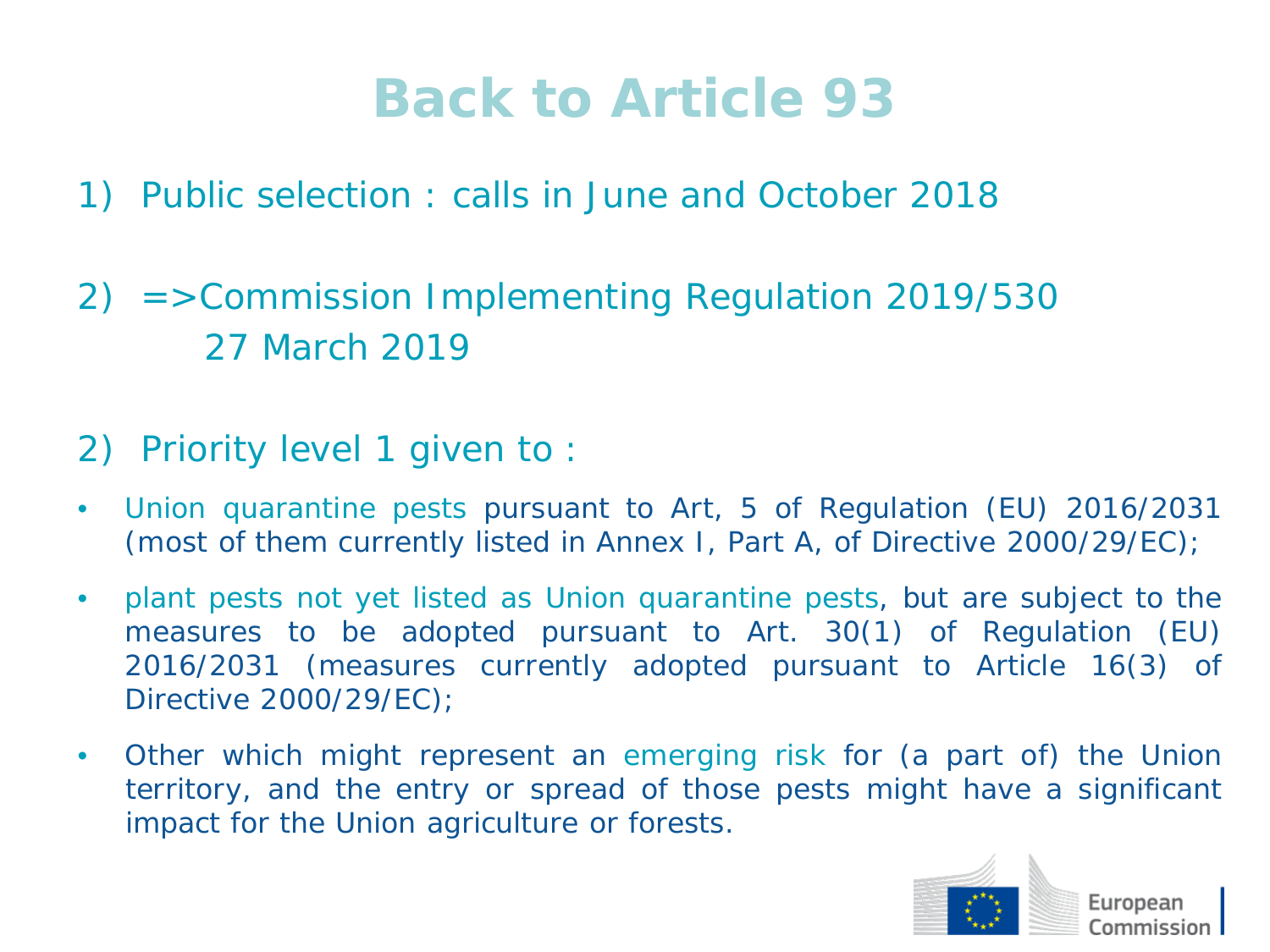## **Back to Article 93**

- 1) Public selection : calls in June and October 2018
- 2) =>Commission Implementing Regulation 2019/530 27 March 2019
- 2) Priority level 1 given to :
- Union quarantine pests pursuant to Art, 5 of Regulation (EU) 2016/2031 (most of them currently listed in Annex I, Part A, of Directive 2000/29/EC);
- plant pests not yet listed as Union quarantine pests, but are subject to the measures to be adopted pursuant to Art. 30(1) of Regulation (EU) 2016/2031 (measures currently adopted pursuant to Article 16(3) of Directive 2000/29/EC);
- Other which might represent an emerging risk for (a part of) the Union territory, and the entry or spread of those pests might have a significant impact for the Union agriculture or forests.

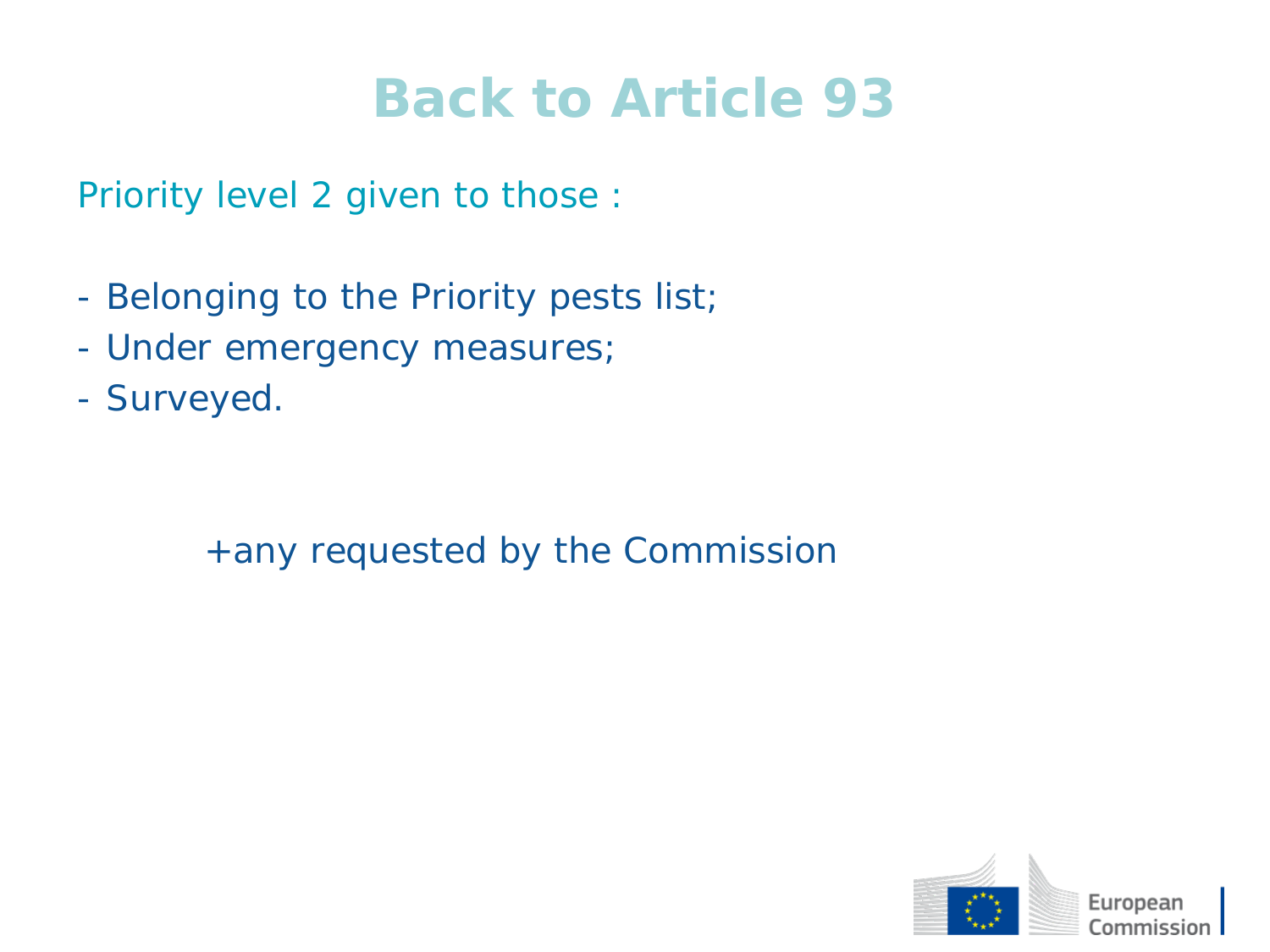### **Back to Article 93**

Priority level 2 given to those :

- Belonging to the Priority pests list;
- Under emergency measures;
- Surveyed.

+any requested by the Commission